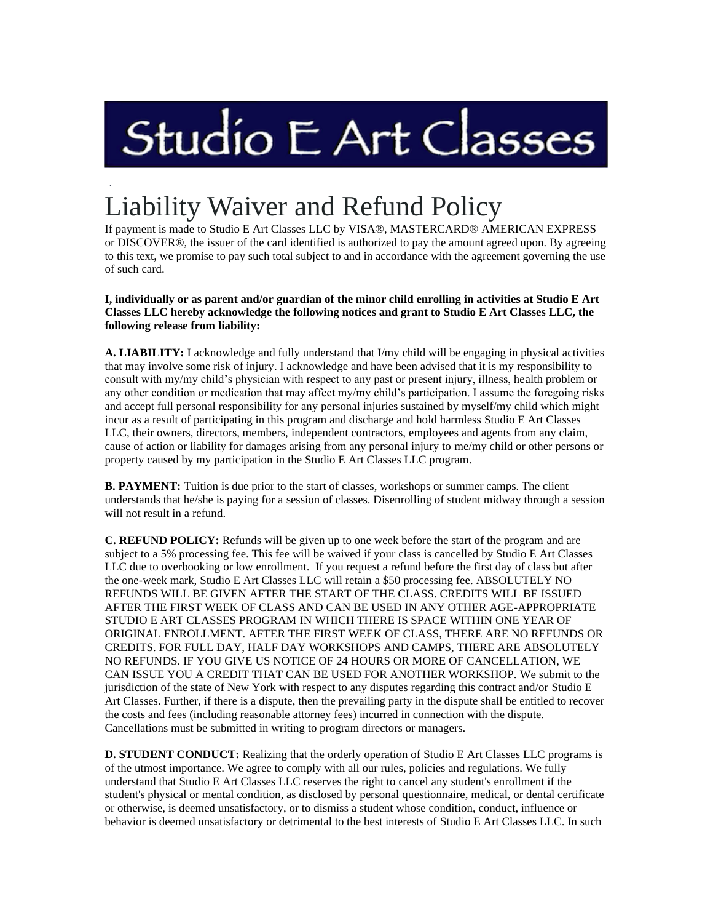## Studio E Art Classes

## . Liability Waiver and Refund Policy

If payment is made to Studio E Art Classes LLC by VISA®, MASTERCARD® AMERICAN EXPRESS or DISCOVER®, the issuer of the card identified is authorized to pay the amount agreed upon. By agreeing to this text, we promise to pay such total subject to and in accordance with the agreement governing the use of such card.

## **I, individually or as parent and/or guardian of the minor child enrolling in activities at Studio E Art Classes LLC hereby acknowledge the following notices and grant to Studio E Art Classes LLC, the following release from liability:**

**A. LIABILITY:** I acknowledge and fully understand that I/my child will be engaging in physical activities that may involve some risk of injury. I acknowledge and have been advised that it is my responsibility to consult with my/my child's physician with respect to any past or present injury, illness, health problem or any other condition or medication that may affect my/my child's participation. I assume the foregoing risks and accept full personal responsibility for any personal injuries sustained by myself/my child which might incur as a result of participating in this program and discharge and hold harmless Studio E Art Classes LLC, their owners, directors, members, independent contractors, employees and agents from any claim, cause of action or liability for damages arising from any personal injury to me/my child or other persons or property caused by my participation in the Studio E Art Classes LLC program.

**B. PAYMENT:** Tuition is due prior to the start of classes, workshops or summer camps. The client understands that he/she is paying for a session of classes. Disenrolling of student midway through a session will not result in a refund.

**C. REFUND POLICY:** Refunds will be given up to one week before the start of the program and are subject to a 5% processing fee. This fee will be waived if your class is cancelled by Studio E Art Classes LLC due to overbooking or low enrollment. If you request a refund before the first day of class but after the one-week mark, Studio E Art Classes LLC will retain a \$50 processing fee. ABSOLUTELY NO REFUNDS WILL BE GIVEN AFTER THE START OF THE CLASS. CREDITS WILL BE ISSUED AFTER THE FIRST WEEK OF CLASS AND CAN BE USED IN ANY OTHER AGE-APPROPRIATE STUDIO E ART CLASSES PROGRAM IN WHICH THERE IS SPACE WITHIN ONE YEAR OF ORIGINAL ENROLLMENT. AFTER THE FIRST WEEK OF CLASS, THERE ARE NO REFUNDS OR CREDITS. FOR FULL DAY, HALF DAY WORKSHOPS AND CAMPS, THERE ARE ABSOLUTELY NO REFUNDS. IF YOU GIVE US NOTICE OF 24 HOURS OR MORE OF CANCELLATION, WE CAN ISSUE YOU A CREDIT THAT CAN BE USED FOR ANOTHER WORKSHOP. We submit to the jurisdiction of the state of New York with respect to any disputes regarding this contract and/or Studio E Art Classes. Further, if there is a dispute, then the prevailing party in the dispute shall be entitled to recover the costs and fees (including reasonable attorney fees) incurred in connection with the dispute. Cancellations must be submitted in writing to program directors or managers.

**D. STUDENT CONDUCT:** Realizing that the orderly operation of Studio E Art Classes LLC programs is of the utmost importance. We agree to comply with all our rules, policies and regulations. We fully understand that Studio E Art Classes LLC reserves the right to cancel any student's enrollment if the student's physical or mental condition, as disclosed by personal questionnaire, medical, or dental certificate or otherwise, is deemed unsatisfactory, or to dismiss a student whose condition, conduct, influence or behavior is deemed unsatisfactory or detrimental to the best interests of Studio E Art Classes LLC. In such